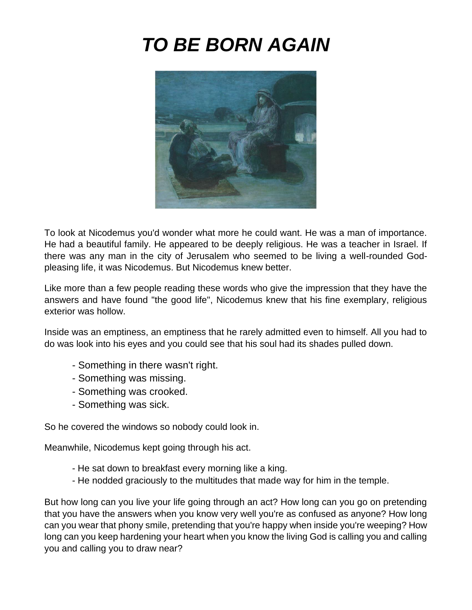# *TO BE BORN AGAIN*



To look at Nicodemus you'd wonder what more he could want. He was a man of importance. He had a beautiful family. He appeared to be deeply religious. He was a teacher in Israel. If there was any man in the city of Jerusalem who seemed to be living a well-rounded Godpleasing life, it was Nicodemus. But Nicodemus knew better.

Like more than a few people reading these words who give the impression that they have the answers and have found "the good life", Nicodemus knew that his fine exemplary, religious exterior was hollow.

Inside was an emptiness, an emptiness that he rarely admitted even to himself. All you had to do was look into his eyes and you could see that his soul had its shades pulled down.

- Something in there wasn't right.
- Something was missing.
- Something was crooked.
- Something was sick.

So he covered the windows so nobody could look in.

Meanwhile, Nicodemus kept going through his act.

- He sat down to breakfast every morning like a king.
- He nodded graciously to the multitudes that made way for him in the temple.

But how long can you live your life going through an act? How long can you go on pretending that you have the answers when you know very well you're as confused as anyone? How long can you wear that phony smile, pretending that you're happy when inside you're weeping? How long can you keep hardening your heart when you know the living God is calling you and calling you and calling you to draw near?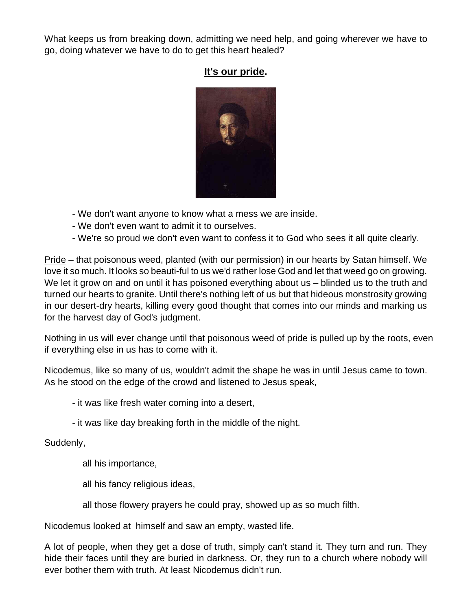What keeps us from breaking down, admitting we need help, and going wherever we have to go, doing whatever we have to do to get this heart healed?

# **It's our pride.**



- We don't want anyone to know what a mess we are inside.
- We don't even want to admit it to ourselves.
- We're so proud we don't even want to confess it to God who sees it all quite clearly.

Pride – that poisonous weed, planted (with our permission) in our hearts by Satan himself. We love it so much. It looks so beauti-ful to us we'd rather lose God and let that weed go on growing. We let it grow on and on until it has poisoned everything about us – blinded us to the truth and turned our hearts to granite. Until there's nothing left of us but that hideous monstrosity growing in our desert-dry hearts, killing every good thought that comes into our minds and marking us for the harvest day of God's judgment.

Nothing in us will ever change until that poisonous weed of pride is pulled up by the roots, even if everything else in us has to come with it.

Nicodemus, like so many of us, wouldn't admit the shape he was in until Jesus came to town. As he stood on the edge of the crowd and listened to Jesus speak,

- it was like fresh water coming into a desert,

- it was like day breaking forth in the middle of the night.

# Suddenly,

all his importance,

all his fancy religious ideas,

all those flowery prayers he could pray, showed up as so much filth.

Nicodemus looked at himself and saw an empty, wasted life.

A lot of people, when they get a dose of truth, simply can't stand it. They turn and run. They hide their faces until they are buried in darkness. Or, they run to a church where nobody will ever bother them with truth. At least Nicodemus didn't run.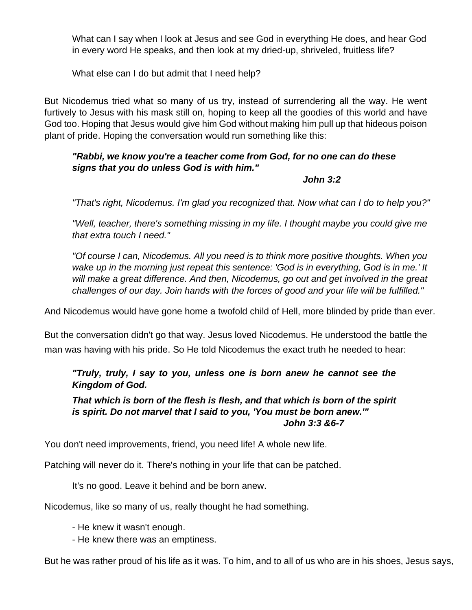What can I say when I look at Jesus and see God in everything He does, and hear God in every word He speaks, and then look at my dried-up, shriveled, fruitless life?

What else can I do but admit that I need help?

But Nicodemus tried what so many of us try, instead of surrendering all the way. He went furtively to Jesus with his mask still on, hoping to keep all the goodies of this world and have God too. Hoping that Jesus would give him God without making him pull up that hideous poison plant of pride. Hoping the conversation would run something like this:

# *"Rabbi, we know you're a teacher come from God, for no one can do these signs that you do unless God is with him."*

#### *John 3:2*

*"That's right, Nicodemus. I'm glad you recognized that. Now what can I do to help you?"*

*"Well, teacher, there's something missing in my life. I thought maybe you could give me that extra touch I need."*

*"Of course I can, Nicodemus. All you need is to think more positive thoughts. When you wake up in the morning just repeat this sentence: 'God is in everything, God is in me.' It will make a great difference. And then, Nicodemus, go out and get involved in the great challenges of our day. Join hands with the forces of good and your life will be fulfilled."*

And Nicodemus would have gone home a twofold child of Hell, more blinded by pride than ever.

But the conversation didn't go that way. Jesus loved Nicodemus. He understood the battle the man was having with his pride. So He told Nicodemus the exact truth he needed to hear:

# *"Truly, truly, I say to you, unless one is born anew he cannot see the Kingdom of God.*

*That which is born of the flesh is flesh, and that which is born of the spirit is spirit. Do not marvel that I said to you, 'You must be born anew.'" John 3:3 &6-7*

You don't need improvements, friend, you need life! A whole new life.

Patching will never do it. There's nothing in your life that can be patched.

It's no good. Leave it behind and be born anew.

Nicodemus, like so many of us, really thought he had something.

- He knew it wasn't enough.

- He knew there was an emptiness.

But he was rather proud of his life as it was. To him, and to all of us who are in his shoes, Jesus says,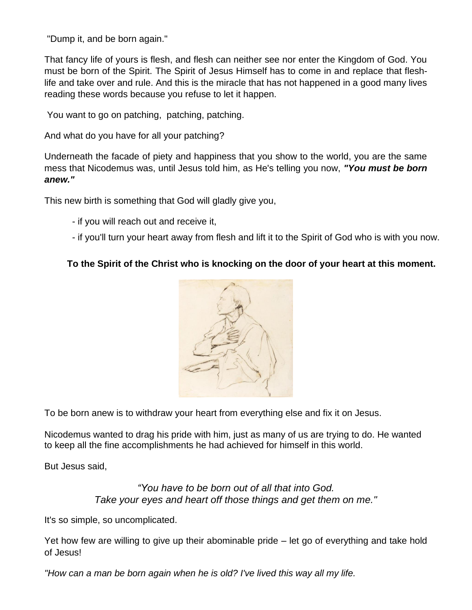"Dump it, and be born again."

That fancy life of yours is flesh, and flesh can neither see nor enter the Kingdom of God. You must be born of the Spirit. The Spirit of Jesus Himself has to come in and replace that fleshlife and take over and rule. And this is the miracle that has not happened in a good many lives reading these words because you refuse to let it happen.

You want to go on patching, patching, patching.

And what do you have for all your patching?

Underneath the facade of piety and happiness that you show to the world, you are the same mess that Nicodemus was, until Jesus told him, as He's telling you now, *"You must be born anew."*

This new birth is something that God will gladly give you,

- if you will reach out and receive it,
- if you'll turn your heart away from flesh and lift it to the Spirit of God who is with you now.

#### **To the Spirit of the Christ who is knocking on the door of your heart at this moment.**



To be born anew is to withdraw your heart from everything else and fix it on Jesus.

Nicodemus wanted to drag his pride with him, just as many of us are trying to do. He wanted to keep all the fine accomplishments he had achieved for himself in this world.

But Jesus said,

#### *"You have to be born out of all that into God. Take your eyes and heart off those things and get them on me."*

It's so simple, so uncomplicated.

Yet how few are willing to give up their abominable pride – let go of everything and take hold of Jesus!

*"How can a man be born again when he is old? I've lived this way all my life.*